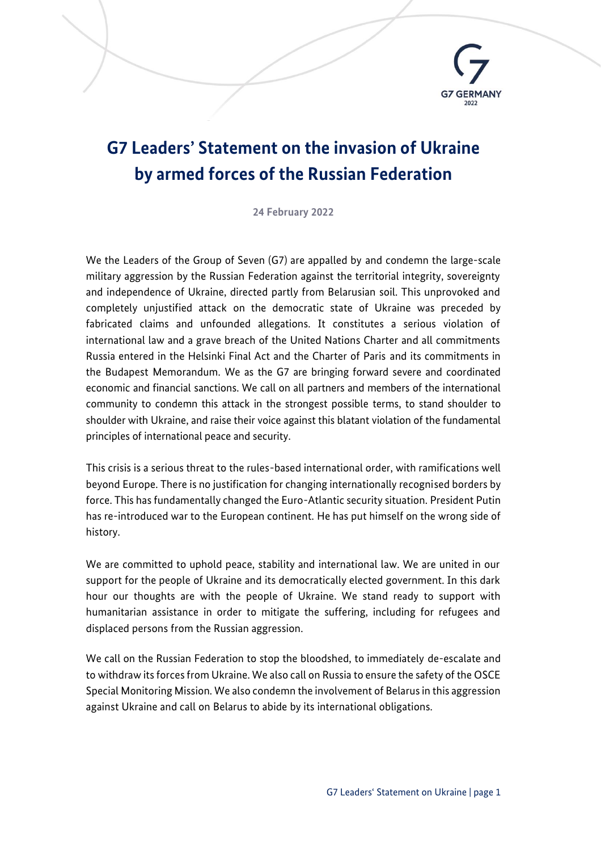

## **G7 Leaders' Statement on the invasion of Ukraine by armed forces of the Russian Federation**

**24 February 2022**

We the Leaders of the Group of Seven (G7) are appalled by and condemn the large-scale military aggression by the Russian Federation against the territorial integrity, sovereignty and independence of Ukraine, directed partly from Belarusian soil. This unprovoked and completely unjustified attack on the democratic state of Ukraine was preceded by fabricated claims and unfounded allegations. It constitutes a serious violation of international law and a grave breach of the United Nations Charter and all commitments Russia entered in the Helsinki Final Act and the Charter of Paris and its commitments in the Budapest Memorandum. We as the G7 are bringing forward severe and coordinated economic and financial sanctions. We call on all partners and members of the international community to condemn this attack in the strongest possible terms, to stand shoulder to shoulder with Ukraine, and raise their voice against this blatant violation of the fundamental principles of international peace and security.

This crisis is a serious threat to the rules-based international order, with ramifications well beyond Europe. There is no justification for changing internationally recognised borders by force. This has fundamentally changed the Euro-Atlantic security situation. President Putin has re-introduced war to the European continent. He has put himself on the wrong side of history.

We are committed to uphold peace, stability and international law. We are united in our support for the people of Ukraine and its democratically elected government. In this dark hour our thoughts are with the people of Ukraine. We stand ready to support with humanitarian assistance in order to mitigate the suffering, including for refugees and displaced persons from the Russian aggression.

We call on the Russian Federation to stop the bloodshed, to immediately de-escalate and to withdraw its forces from Ukraine. We also call on Russia to ensure the safety of the OSCE Special Monitoring Mission. We also condemn the involvement of Belarus in this aggression against Ukraine and call on Belarus to abide by its international obligations.